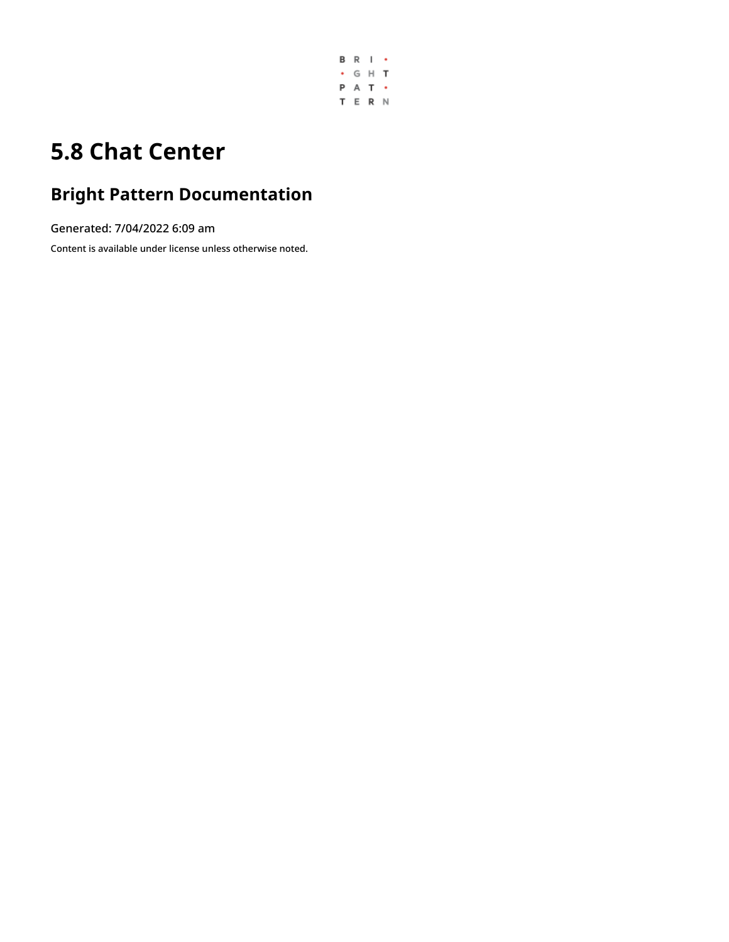

# **5.8 Chat Center**

# **Bright Pattern Documentation**

Generated: 7/04/2022 6:09 am

Content is available under license unless otherwise noted.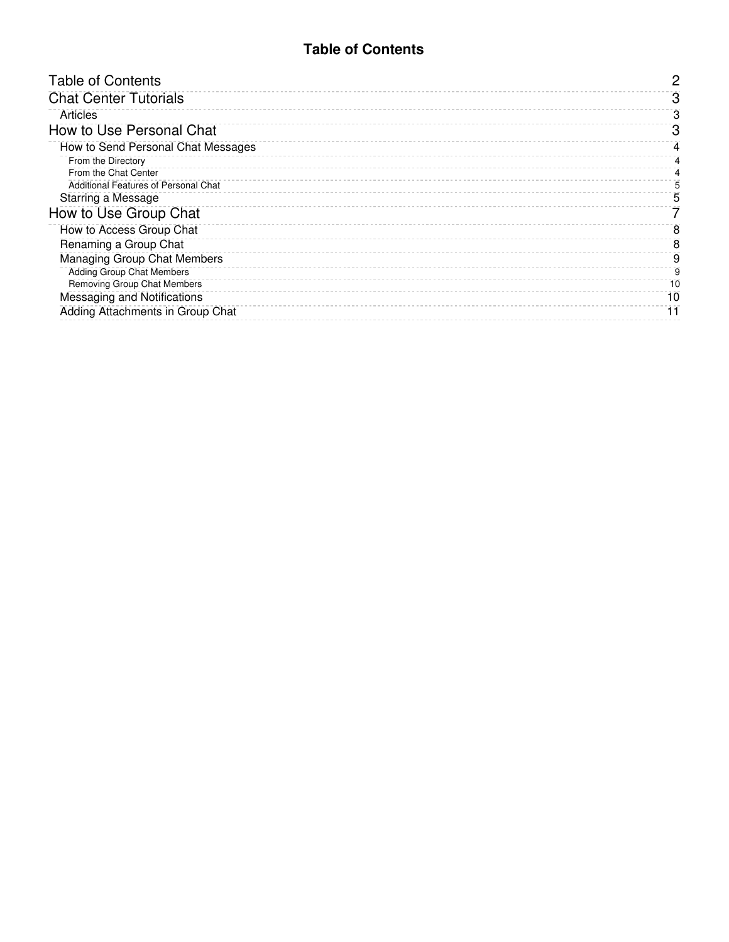### **Table of Contents**

<span id="page-1-0"></span>

| <b>Table of Contents</b>             | 2  |
|--------------------------------------|----|
| <b>Chat Center Tutorials</b>         | З  |
| Articles                             | З  |
| How to Use Personal Chat             | З  |
| How to Send Personal Chat Messages   | 4  |
| From the Directory                   |    |
| From the Chat Center                 |    |
| Additional Features of Personal Chat | 5  |
| Starring a Message                   | 5  |
| How to Use Group Chat                |    |
| How to Access Group Chat             | 8  |
| Renaming a Group Chat                | 8  |
| <b>Managing Group Chat Members</b>   | 9  |
| Adding Group Chat Members            | 9  |
| Removing Group Chat Members          | 10 |
| Messaging and Notifications          | 10 |
| Adding Attachments in Group Chat     |    |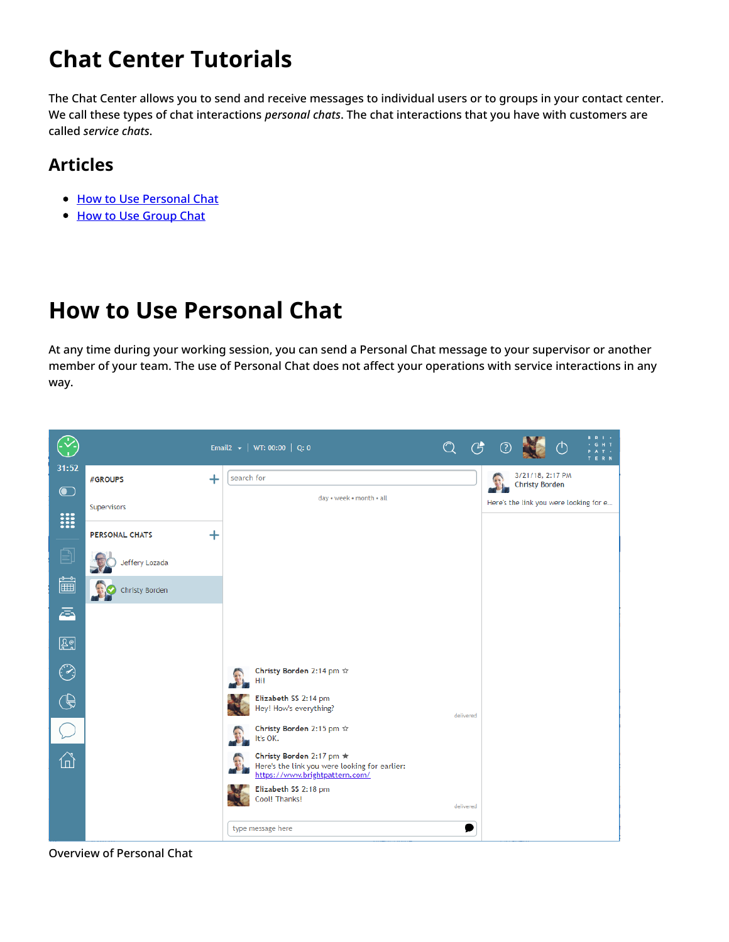# <span id="page-2-0"></span>**Chat Center Tutorials**

The Chat Center allows you to send and receive messages to individual users or to groups in your contact center. We call these types of chat interactions *personal chats*. The chat interactions that you have with customers are called *service chats*.

## <span id="page-2-1"></span>**Articles**

- How to Use [Personal](https://help.brightpattern.com/5.8:Agent-guide/Tutorials/ChatCenter/?action=html-localimages-export#topic_agent-guide.2Ftutorials.2Fchatcenter.2Fhowtouseinternalchat) Chat
- How to Use [Group](https://help.brightpattern.com/5.8:Agent-guide/Tutorials/ChatCenter/?action=html-localimages-export#topic_agent-guide.2Ftutorials.2Fchatcenter.2Fhowtostartagroupchat) Chat

# <span id="page-2-2"></span>**How to Use Personal Chat**

At any time during your working session, you can send a Personal Chat message to your supervisor or another member of your team. The use of Personal Chat does not affect your operations with service interactions in any way.



Overview of Personal Chat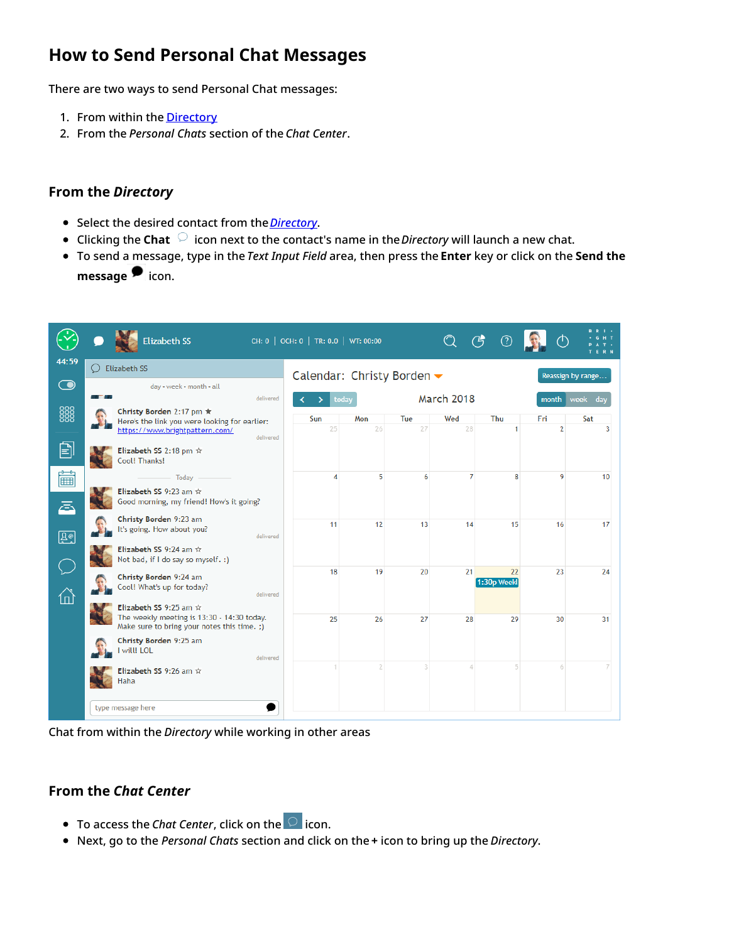## <span id="page-3-0"></span>**How to Send Personal Chat Messages**

There are two ways to send Personal Chat messages:

- 1. From within the **[Directory](https://help.brightpattern.com/5.8:Agent-guide/Tutorials/ChatCenter/?action=html-localimages-export#topic_agent-guide.2Fhowtousethedirectory)**
- 2. From the *Personal Chats* section of the *Chat Center*.

#### <span id="page-3-1"></span>**From the** *Directory*

- Select the desired contact from the *[Directory](https://help.brightpattern.com/5.8:Agent-guide/Tutorials/ChatCenter/?action=html-localimages-export#topic_agent-guide.2Fhowtousethedirectory)*.
- Clicking the **Chat** icon next to the contact's name in the *Directory* will launch a new chat.
- To send a message, type in the *Text Input Field* area, then press the **Enter** key or click on the **Send the messag[e](https://help.brightpattern.com/File:Group-Chat-Send-Message-50.PNG)** icon.

|              | <b>Elizabeth SS</b>                                                                       |           | CH: 0   OCH: 0   TR: 0.0   WT: 00:00 |       |            |                   | $\mathfrak{G}$<br><u>(?</u> |                |                    |
|--------------|-------------------------------------------------------------------------------------------|-----------|--------------------------------------|-------|------------|-------------------|-----------------------------|----------------|--------------------|
| 44:59        | <b>Elizabeth SS</b>                                                                       |           | Calendar: Christy Borden ▼           |       |            |                   |                             |                | Reassign by range  |
| $\bf{O}$     | day • week • month • all<br><b>The Contract State</b>                                     | delivered |                                      | today |            | <b>March 2018</b> |                             | month          |                    |
| 888          | Christy Borden 2:17 pm ★<br>Here's the link you were looking for earlier:                 |           | Sun                                  | Mon   | <b>Tue</b> | Wed               | Thu                         | Fri            | week<br>dav<br>Sat |
|              | https://www.brightpattern.com/                                                            | delivered | 25                                   | 26    | 27         | 28                | 1                           | $\overline{2}$ | 3                  |
| 囼            | Elizabeth SS 2:18 pm $\hat{x}$<br>Cool! Thanks!                                           |           |                                      |       |            |                   |                             |                |                    |
| ■            | Today                                                                                     |           | 4                                    | 5     | 6          | 7                 | 8                           | 9              | 10 <sup>1</sup>    |
| ā            | Elizabeth SS 9:23 am $\hat{x}$<br>Good morning, my friend! How's it going?                |           |                                      |       |            |                   |                             |                |                    |
| $\boxed{20}$ | Christy Borden 9:23 am<br>It's going. How about you?                                      | delivered | 11                                   | 12    | 13         | 14                | 15                          | 16             | 17                 |
|              | Elizabeth SS 9:24 am **<br>Not bad, if I do say so myself. :)                             |           |                                      |       |            |                   |                             |                |                    |
|              | Christy Borden 9:24 am<br>Cool! What's up for today?                                      |           | 18                                   | 19    | 20         | 21                | 22<br>1:30p Weekl           | 23             | 24                 |
| 6            | Elizabeth SS 9:25 am $\hat{x}$                                                            | delivered |                                      |       |            |                   |                             |                |                    |
|              | The weekly meeting is 13:30 - 14:30 today.<br>Make sure to bring your notes this time. ;) |           | 25                                   | 26    | 27         | 28                | 29                          | 30             | 31                 |
|              | Christy Borden 9:25 am<br>I will! LOL                                                     | delivered |                                      |       |            |                   |                             |                |                    |
|              | Elizabeth SS 9:26 am $\hat{x}$<br>Haha                                                    |           |                                      | 2     | 3          | 4                 | 5                           | 6              |                    |
|              | type message here                                                                         |           |                                      |       |            |                   |                             |                |                    |

Chat from within the *Directory* while working in other areas

#### <span id="page-3-2"></span>**From the** *Chat Center*

- To access the *Chat Center*, click on the **or** icon.
- Next, go to the *Personal Chats* section and click on the **+** icon to bring up the *Directory*.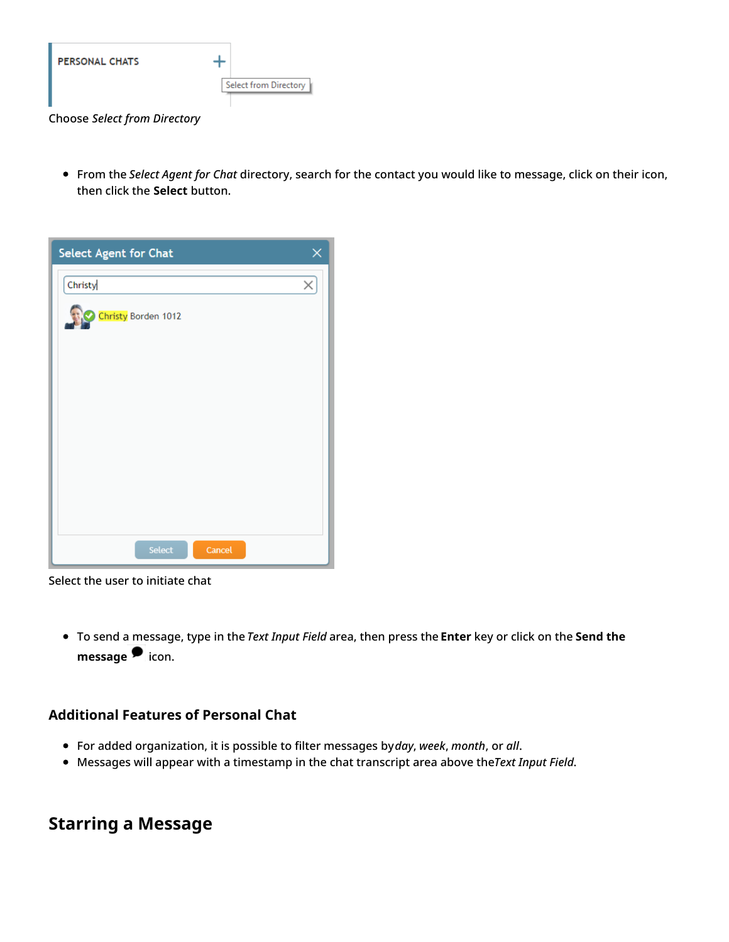

Choose *Select from Directory*

From the *Select Agent for Chat* directory, search for the contact you would like to message, click on their icon, then click the **Select** button.

| Select Agent for Chat | ×        |
|-----------------------|----------|
| Christy               | $\times$ |
| Christy Borden 1012   |          |
|                       |          |
|                       |          |
|                       |          |
|                       |          |
|                       |          |
|                       |          |
|                       |          |
|                       |          |
| Select<br>Cancel      |          |

Select the user to initiate chat

To send a message, type in the *Text Input Field* area, then press the **Enter** key or click on the **Send the messag[e](https://help.brightpattern.com/File:Group-Chat-Send-Message-50.PNG)** icon.

#### <span id="page-4-0"></span>**Additional Features of Personal Chat**

- For added organization, it is possible to filter messages by*day*, *week*, *month*, or *all*.
- Messages will appear with a timestamp in the chat transcript area above the*Text Input Field*.

### <span id="page-4-1"></span>**Starring a Message**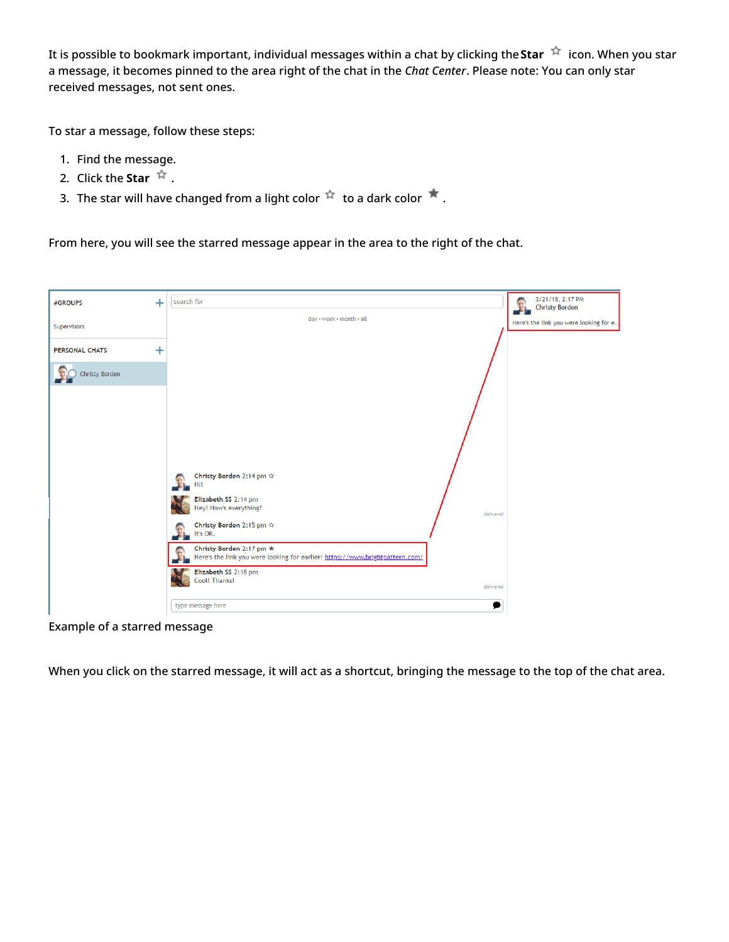It is possible to bookmark important, individual messages within a chat by clicking the Star  $\dot{X}$  icon. When you star a message, it becomes pinned to the area right of the chat in the *Chat Center*. Please note: You can only star received messages, not sent ones.

To star a message, follow these steps:

- 1. Find the message.
- 2. Click the **Star**  $\overrightarrow{r}$ .
- 3. The star will have changed from a light color  $\overline{X}$  to a dark color  $\overline{X}$ .

From here, you will see the starred message appear in the area to the right of the chat.



Example of a starred message

When you click on the starred message, it will act as a shortcut, bringing the message to the top of the chat area.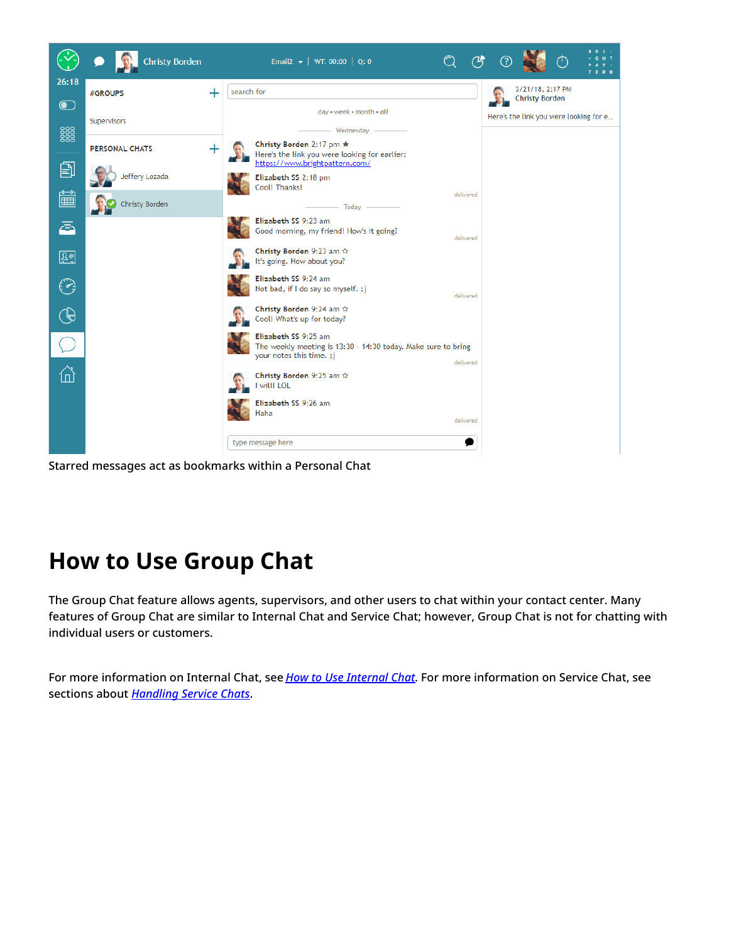

Starred messages act as bookmarks within a Personal Chat

# <span id="page-6-0"></span>**How to Use Group Chat**

The Group Chat feature allows agents, supervisors, and other users to chat within your contact center. Many features of Group Chat are similar to Internal Chat and Service Chat; however, Group Chat is not for chatting with individual users or customers.

For more information on Internal Chat, see *How to Use [Internal](https://help.brightpattern.com/5.8:Agent-guide/Tutorials/ChatCenter/?action=html-localimages-export#topic_agent-guide.2Fhowtouseinternalchat) Chat*. For more information on Service Chat, see sections about *[Handling](https://help.brightpattern.com/5.8:Agent-guide/Tutorials/ChatCenter/?action=html-localimages-export#topic_agent-guide.2Fhowtosendchatmessages) Service Chats*.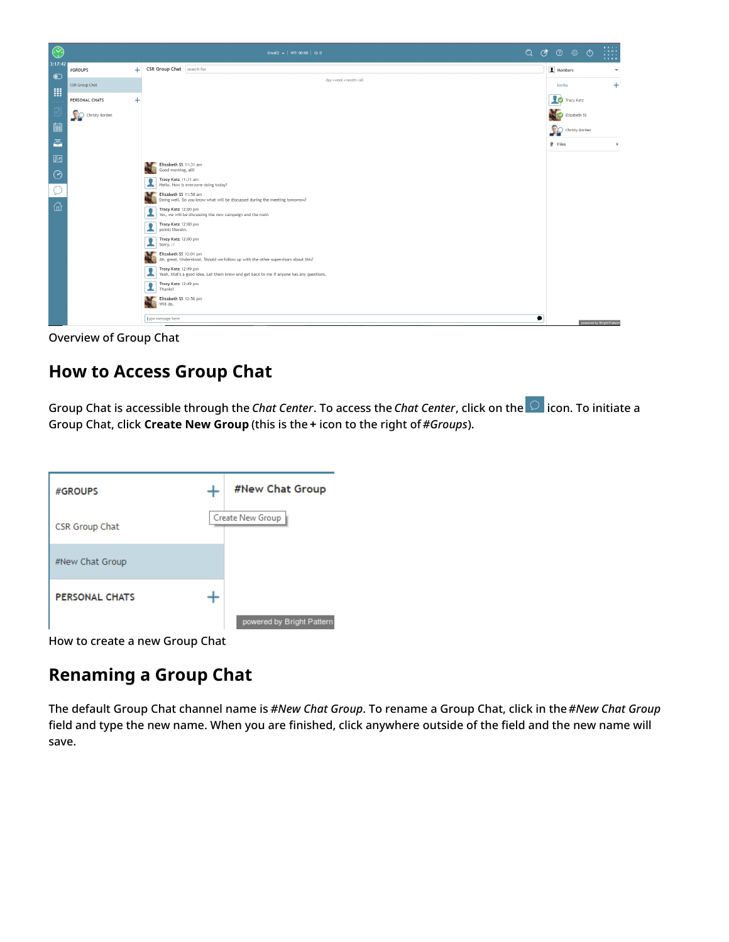

Overview of Group Chat

## <span id="page-7-0"></span>**How to Access Group Chat**

Group Chat is accessible through the *Chat Center*. To access the *Chat Center*, click on the **o** icon. To initiate a Group Chat, click **Create New Group** (this is the **+** icon to the right of*#Groups*).

| #GROUPS               | #New Chat Group           |
|-----------------------|---------------------------|
| CSR Group Chat        | Create New Group          |
| #New Chat Group       |                           |
| <b>PERSONAL CHATS</b> |                           |
|                       | powered by Bright Pattern |

How to create a new Group Chat

## <span id="page-7-1"></span>**Renaming a Group Chat**

The default Group Chat channel name is *#New Chat Group*. To rename a Group Chat, click in the*#New Chat Group* field and type the new name. When you are finished, click anywhere outside of the field and the new name will save.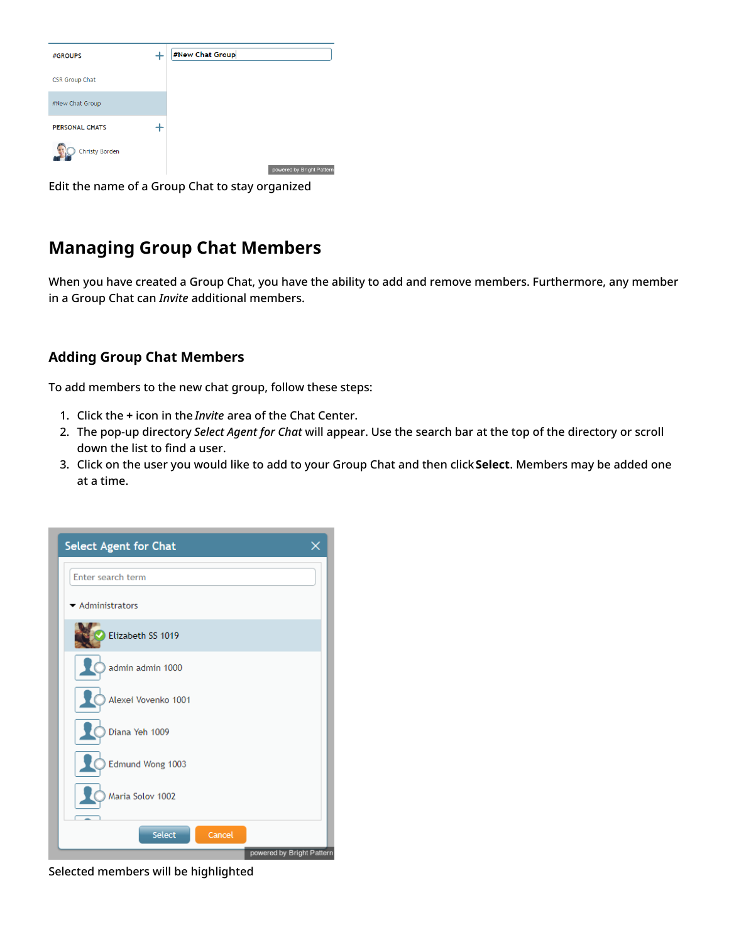| #GROUPS               | #New Chat Group           |
|-----------------------|---------------------------|
| <b>CSR Group Chat</b> |                           |
| #New Chat Group       |                           |
| <b>PERSONAL CHATS</b> |                           |
| Christy Borden        |                           |
|                       | powered by Bright Pattern |

Edit the name of a Group Chat to stay organized

## <span id="page-8-0"></span>**Managing Group Chat Members**

When you have created a Group Chat, you have the ability to add and remove members. Furthermore, any member in a Group Chat can *Invite* additional members.

### <span id="page-8-1"></span>**Adding Group Chat Members**

To add members to the new chat group, follow these steps:

- 1. Click the **+** icon in the *Invite* area of the Chat Center.
- 2. The pop-up directory *Select Agent for Chat* will appear. Use the search bar at the top of the directory or scroll down the list to find a user.
- 3. Click on the user you would like to add to your Group Chat and then click**Select**. Members may be added one at a time.



Selected members will be highlighted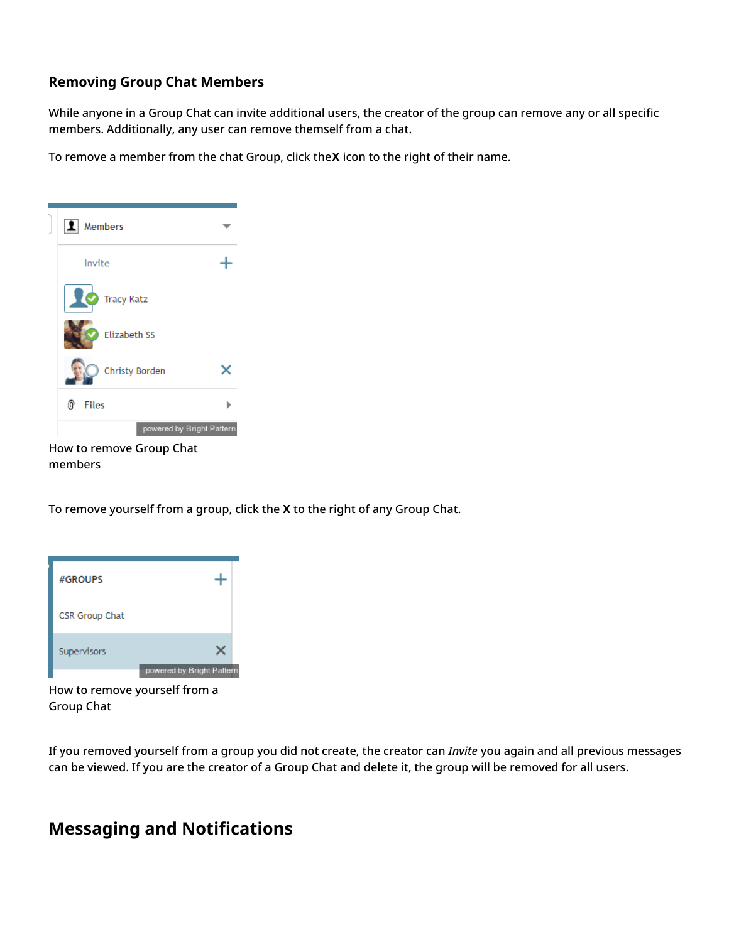### <span id="page-9-0"></span>**Removing Group Chat Members**

While anyone in a Group Chat can invite additional users, the creator of the group can remove any or all specific members. Additionally, any user can remove themself from a chat.

To remove a member from the chat Group, click the**X** icon to the right of their name.



members

To remove yourself from a group, click the **X** to the right of any Group Chat.



How to remove yourself from a Group Chat

If you removed yourself from a group you did not create, the creator can *Invite* you again and all previous messages can be viewed. If you are the creator of a Group Chat and delete it, the group will be removed for all users.

### <span id="page-9-1"></span>**Messaging and Notifications**